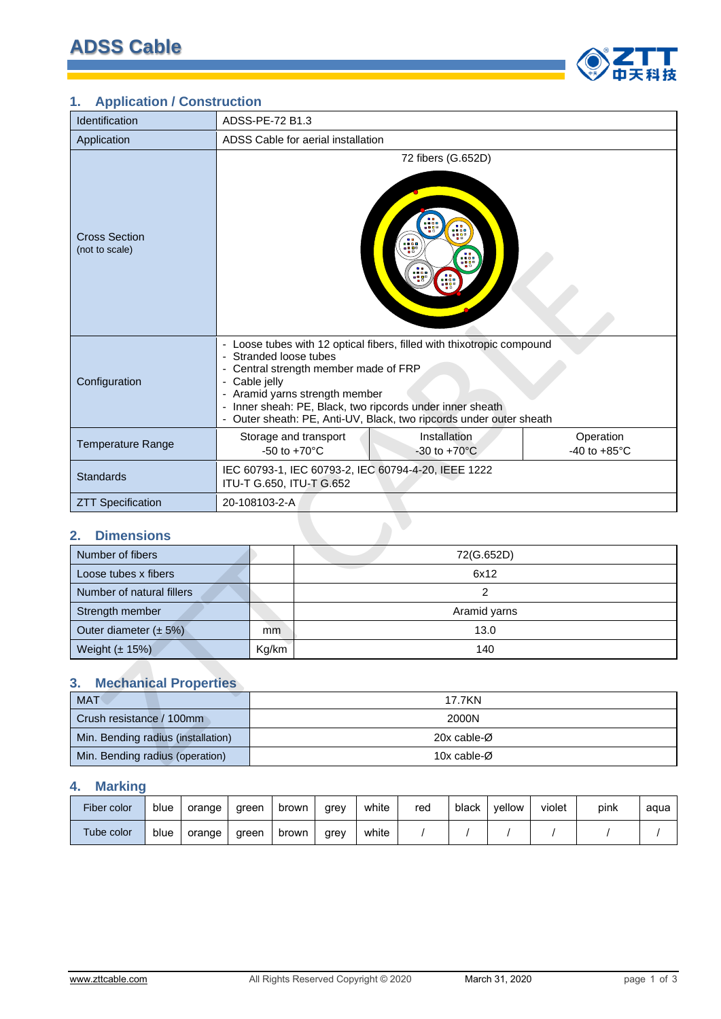

## **1. Application / Construction**

| Identification                         |  | ADSS-PE-72 B1.3                         |                                                                         |                                                                                                                                                                                                            |                                     |  |
|----------------------------------------|--|-----------------------------------------|-------------------------------------------------------------------------|------------------------------------------------------------------------------------------------------------------------------------------------------------------------------------------------------------|-------------------------------------|--|
| Application                            |  |                                         | ADSS Cable for aerial installation                                      |                                                                                                                                                                                                            |                                     |  |
| <b>Cross Section</b><br>(not to scale) |  |                                         |                                                                         | 72 fibers (G.652D)<br>$\frac{1}{2000}$                                                                                                                                                                     |                                     |  |
| Configuration                          |  | - Stranded loose tubes<br>- Cable jelly | - Central strength member made of FRP<br>- Aramid yarns strength member | - Loose tubes with 12 optical fibers, filled with thixotropic compound<br>- Inner sheah: PE, Black, two ripcords under inner sheath<br>- Outer sheath: PE, Anti-UV, Black, two ripcords under outer sheath |                                     |  |
| <b>Temperature Range</b>               |  | $-50$ to $+70^{\circ}$ C                | Storage and transport                                                   | Installation<br>$-30$ to $+70^{\circ}$ C                                                                                                                                                                   | Operation<br>-40 to $+85^{\circ}$ C |  |
| <b>Standards</b>                       |  |                                         | ITU-T G.650, ITU-T G.652                                                | IEC 60793-1, IEC 60793-2, IEC 60794-4-20, IEEE 1222                                                                                                                                                        |                                     |  |
| <b>ZTT Specification</b>               |  | 20-108103-2-A                           |                                                                         |                                                                                                                                                                                                            |                                     |  |
| 2.<br><b>Dimensions</b>                |  |                                         |                                                                         |                                                                                                                                                                                                            |                                     |  |
| Number of fibers                       |  |                                         |                                                                         | 72(G.652D)                                                                                                                                                                                                 |                                     |  |
| Loose tubes x fibers                   |  |                                         |                                                                         | 6x12                                                                                                                                                                                                       |                                     |  |
| Number of natural fillers              |  |                                         |                                                                         | $\overline{2}$                                                                                                                                                                                             |                                     |  |
| Strength member                        |  | Aramid yarns                            |                                                                         |                                                                                                                                                                                                            |                                     |  |
| Outer diameter $(\pm 5\%)$             |  | mm                                      |                                                                         | 13.0                                                                                                                                                                                                       |                                     |  |
| Weight (± 15%)                         |  | Kg/km                                   | 140                                                                     |                                                                                                                                                                                                            |                                     |  |
| <b>Mechanical Properties</b><br>3.     |  |                                         |                                                                         |                                                                                                                                                                                                            |                                     |  |
| <b>MAT</b>                             |  |                                         |                                                                         | <b>17.7KN</b>                                                                                                                                                                                              |                                     |  |
| Crush resistance / 100mm               |  |                                         |                                                                         | 2000N                                                                                                                                                                                                      |                                     |  |
| Min. Bending radius (installation)     |  |                                         |                                                                         | 20x cable-Ø                                                                                                                                                                                                |                                     |  |
| Min. Bending radius (operation)        |  | 10x cable-Ø                             |                                                                         |                                                                                                                                                                                                            |                                     |  |

### **2. Dimensions**

| Number of fibers           |       | 72(G.652D)   |
|----------------------------|-------|--------------|
| Loose tubes x fibers       |       | 6x12         |
| Number of natural fillers  |       |              |
| Strength member            |       | Aramid yarns |
| Outer diameter $(\pm 5\%)$ | mm    | 13.0         |
| Weight $(\pm 15%)$         | Kg/km | 140          |

# **3. Mechanical Properties**

| <b>MAT</b>                         | 17.7KN                   |
|------------------------------------|--------------------------|
| Crush resistance / 100mm           | 2000N                    |
| Min. Bending radius (installation) | 20x cable-Ø              |
| Min. Bending radius (operation)    | 10x cable- $\varnothing$ |

## **4. Marking**

| Fiber color | blue | orange | areen | brown | arev | white | red | black | vellow | violet | pink | aqua |
|-------------|------|--------|-------|-------|------|-------|-----|-------|--------|--------|------|------|
| Tube color  | blue | orange | areen | brown | arev | white |     |       |        |        |      |      |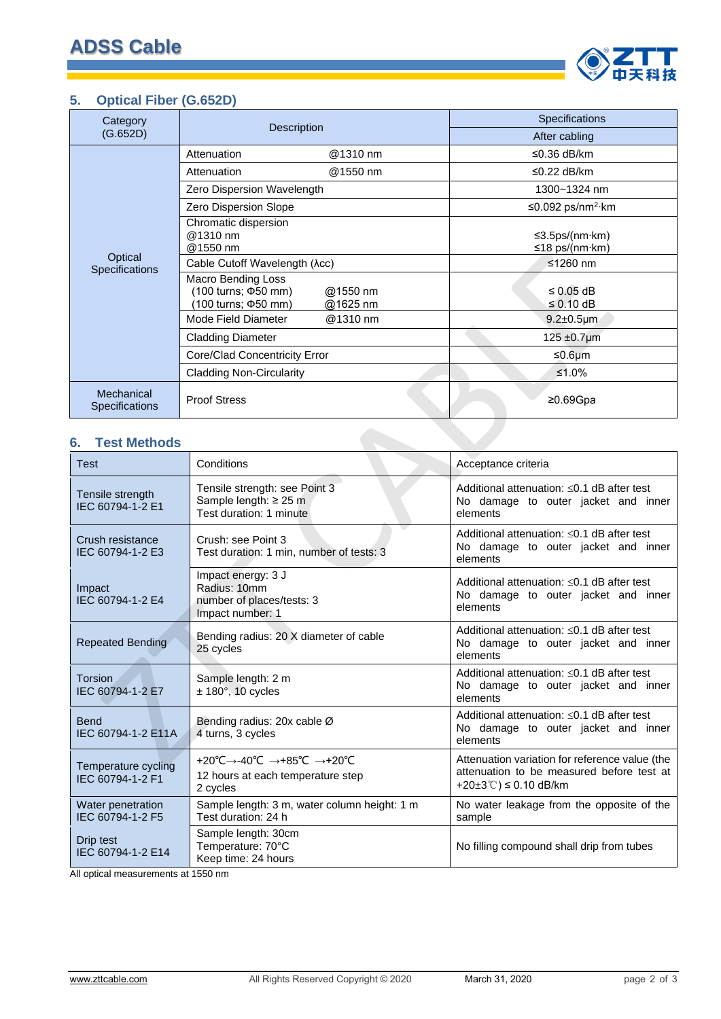

#### **5. Optical Fiber (G.652D)**

| Category                     |                                                                                                            | Specifications                               |
|------------------------------|------------------------------------------------------------------------------------------------------------|----------------------------------------------|
| (G.652D)                     | <b>Description</b>                                                                                         | After cabling                                |
|                              | Attenuation<br>@1310 nm                                                                                    | ≤0.36 dB/km                                  |
|                              | Attenuation<br>@1550 nm                                                                                    | ≤0.22 dB/km                                  |
|                              | Zero Dispersion Wavelength                                                                                 | 1300~1324 nm                                 |
|                              | Zero Dispersion Slope                                                                                      | ≤0.092 ps/nm <sup>2</sup> ·km                |
| Optical<br>Specifications    | Chromatic dispersion<br>@1310 nm<br>@1550 nm<br>Cable Cutoff Wavelength (λcc)<br><b>Macro Bending Loss</b> | ≤3.5ps/(nm·km)<br>≤18 ps/(nm·km)<br>≤1260 nm |
|                              | (100 turns; ¢50 mm)<br>@1550 nm<br>(100 turns; ¢50 mm)<br>@1625 nm                                         | $\leq$ 0.05 dB<br>$\leq 0.10$ dB             |
|                              | Mode Field Diameter<br>@1310 nm                                                                            | $9.2 \pm 0.5$ µm                             |
|                              | <b>Cladding Diameter</b>                                                                                   | $125 \pm 0.7 \mu m$                          |
|                              | Core/Clad Concentricity Error                                                                              | ≤0.6 $µm$                                    |
|                              | <b>Cladding Non-Circularity</b>                                                                            | ≤1.0%                                        |
| Mechanical<br>Specifications | <b>Proof Stress</b>                                                                                        | ≥0.69 $Gpa$                                  |

#### **6. Test Methods**

| Optical<br>Specifications               | Cable Cutoff Wavelength (λcc)                                                                               | ≤1260 nm                                                                                                                  |
|-----------------------------------------|-------------------------------------------------------------------------------------------------------------|---------------------------------------------------------------------------------------------------------------------------|
|                                         | <b>Macro Bending Loss</b><br>(100 turns; $\Phi$ 50 mm)<br>@1550 nm<br>@1625 nm<br>(100 turns; $\Phi$ 50 mm) | ≤ 0.05 dB<br>$\leq$ 0.10 dB                                                                                               |
|                                         | Mode Field Diameter<br>@1310 nm                                                                             | $9.2 \pm 0.5$ µm                                                                                                          |
|                                         | <b>Cladding Diameter</b>                                                                                    | 125 $\pm 0.7$ µm                                                                                                          |
|                                         | Core/Clad Concentricity Error                                                                               | ≤0.6 $µm$                                                                                                                 |
|                                         | <b>Cladding Non-Circularity</b>                                                                             | ≤1.0%                                                                                                                     |
| Mechanical<br><b>Specifications</b>     | <b>Proof Stress</b>                                                                                         | $≥0.69Gpa$                                                                                                                |
| <b>Test Methods</b><br>6.               |                                                                                                             |                                                                                                                           |
| <b>Test</b>                             | Conditions                                                                                                  | Acceptance criteria                                                                                                       |
| Tensile strength<br>IEC 60794-1-2 E1    | Tensile strength: see Point 3<br>Sample length: ≥ 25 m<br>Test duration: 1 minute                           | Additional attenuation: ≤0.1 dB after test<br>No damage to outer jacket and inner<br>elements                             |
| Crush resistance<br>IEC 60794-1-2 E3    | Crush: see Point 3<br>Test duration: 1 min, number of tests: 3                                              | Additional attenuation: ≤0.1 dB after test<br>No damage to outer jacket and inner<br>elements                             |
| Impact<br>IEC 60794-1-2 E4              | Impact energy: 3 J<br>Radius: 10mm<br>number of places/tests: 3<br>Impact number: 1                         | Additional attenuation: $\leq$ 0.1 dB after test<br>No damage to outer jacket and inner<br>elements                       |
| <b>Repeated Bending</b>                 | Bending radius: 20 X diameter of cable<br>25 cycles                                                         | Additional attenuation: ≤0.1 dB after test<br>No damage to outer jacket and inner<br>elements                             |
| <b>Torsion</b><br>IEC 60794-1-2 E7      | Sample length: 2 m<br>$± 180^\circ$ , 10 cycles                                                             | Additional attenuation: $\leq$ 0.1 dB after test<br>No damage to outer jacket and inner<br>elements                       |
| <b>Bend</b><br>IEC 60794-1-2 E11A       | Bending radius: 20x cable Ø<br>4 turns, 3 cycles                                                            | Additional attenuation: $\leq$ 0.1 dB after test<br>No damage to outer jacket and inner<br>elements                       |
| Temperature cycling<br>IEC 60794-1-2 F1 | +20°C→-40°C →+85°C →+20°C<br>12 hours at each temperature step<br>2 cycles                                  | Attenuation variation for reference value (the<br>attenuation to be measured before test at<br>+20±3°C) $\leq$ 0.10 dB/km |
| Water penetration<br>IEC 60794-1-2 F5   | Sample length: 3 m, water column height: 1 m<br>Test duration: 24 h                                         | No water leakage from the opposite of the<br>sample                                                                       |
| Drip test<br>IEC 60794-1-2 E14          | Sample length: 30cm<br>Temperature: 70°C<br>Keep time: 24 hours                                             | No filling compound shall drip from tubes                                                                                 |

All optical measurements at 1550 nm